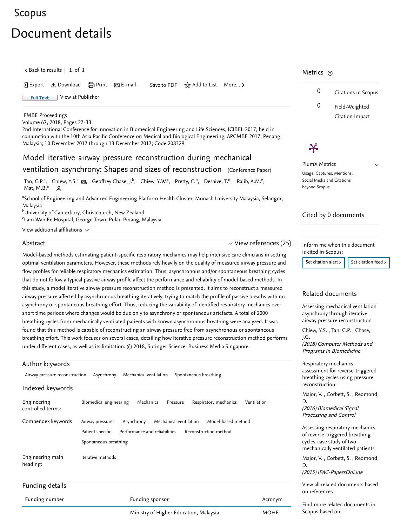# [Scopus](https://www.scopus.com/home.uri?zone=header&origin=searchbasic)

# Document details

 $\zeta$  [Back to results](https://www.scopus.com/results/results.uri?sort=plf-f&src=s&st1=Model+Iterative+Airway+Pressure+Reconstruction+During+Mechanical+Ventilation&st2=&sid=1070d5c075cb52e99fd5d7adc6bf331b&sot=b&sdt=b&sl=83&s=TITLE%28Model+Iterative+Airway+Pressure+Reconstruction+During+Mechanical+Ventilation%29&offset=1&origin=recordpage)  $\vert$  1 of 1

• Export と Download ( Print 区 E-mail Save to PDF ☆ Add to List More... 〉

Full Text [View at Publisher](https://www.scopus.com/redirect/linking.uri?targetURL=https%3a%2f%2fdoi.org%2f10.1007%2f978-981-10-7554-4_5&locationID=1&categoryID=4&eid=2-s2.0-85038072398&issn=16800737&linkType=ViewAtPublisher&year=2018&origin=recordpage&dig=d5efb9efc2db40e55164df3921d87385&recordRank=)

#### [IFMBE Proceedings](https://www.scopus.com/sourceid/19400157277?origin=recordpage)

Volume 67, 2018, Pages 27-33

2nd International Conference for Innovation in Biomedical Engineering and Life Sciences, ICIBEL 2017, held in conjunction with the 10th Asia Pacific Conference on Medical and Biological Engineering, APCMBE 2017; Penang; Malaysia; 10 December 2017 through 13 December 2017; Code 208329

# Model iterative airway pressure reconstruction during mechanical ventilation asynchrony: Shapes and sizes of reconstruction (Conference Paper)

[Tan, C.P.](https://www.scopus.com/authid/detail.uri?authorId=57199499568&eid=2-s2.0-85038072398)<sup>a</sup>, [Chiew, Y.S.](https://www.scopus.com/authid/detail.uri?authorId=57191987083&eid=2-s2.0-85038072398)<sup>a</sup>  $\boxtimes$ , [Geoffrey Chase, J.](https://www.scopus.com/authid/detail.uri?authorId=56974792800&eid=2-s2.0-85038072398)<sup>b</sup>, [Chiew, Y.W.](https://www.scopus.com/authid/detail.uri?authorId=57199508129&eid=2-s2.0-85038072398)<sup>c</sup>, [Pretty, C.](https://www.scopus.com/authid/detail.uri?authorId=6508290605&eid=2-s2.0-85038072398)<sup>b</sup>, [Desaive, T.](https://www.scopus.com/authid/detail.uri?authorId=23388682900&eid=2-s2.0-85038072398)<sup>d</sup>, [Ralib, A.M.](https://www.scopus.com/authid/detail.uri?authorId=37031770900&eid=2-s2.0-85038072398)<sup>e</sup>, [Mat, M.B.](https://www.scopus.com/authid/detail.uri?authorId=57199500263&eid=2-s2.0-85038072398) $^e$  2

<sup>a</sup>School of Engineering and Advanced Engineering Platform Health Cluster, Monash University Malaysia, Selangor, Malaysia

<sup>b</sup>University of Canterbury, Christchurch, New Zealand

<sup>c</sup>Lam Wah Ee Hospital, George Town, Pulau Pinang, Malaysia

View additional affiliations  $\sim$ 

## Abstract

## $\vee$  [View references \(25\)](#page-1-0)

Model-based methods estimating patient-specific respiratory mechanics may help intensive care clinicians in setting optimal ventilation parameters. However, these methods rely heavily on the quality of measured airway pressure and flow profiles for reliable respiratory mechanics estimation. Thus, asynchronous and/or spontaneous breathing cycles that do not follow a typical passive airway profile affect the performance and reliability of model-based methods. In this study, a model iterative airway pressure reconstruction method is presented. It aims to reconstruct a measured airway pressure affected by asynchronous breathing iteratively, trying to match the profile of passive breaths with no asynchrony or spontaneous breathing effort. Thus, reducing the variability of identified respiratory mechanics over short time periods where changes would be due only to asynchrony or spontaneous artefacts. A total of 2000 breathing cycles from mechanically ventilated patients with known asynchronous breathing were analyzed. It was found that this method is capable of reconstructing an airway pressure free from asynchronous or spontaneous breathing effort. This work focuses on several cases, detailing how iterative pressure reconstruction method performs under different cases, as well as its limitation. © 2018, Springer Science+Business Media Singapore.

#### Author keywords

Airway pressure reconstruction Asynchrony Mechanical ventilation Spontaneous breathing

### Indexed keywords

| Engineering<br>controlled terms: | Biomedical engineering                                                      | Mechanics<br>Pressure                                   | Respiratory mechanics                       | Ventilation |
|----------------------------------|-----------------------------------------------------------------------------|---------------------------------------------------------|---------------------------------------------|-------------|
| Compendex keywords               | Asynchrony<br>Airway pressures<br>Patient specific<br>Spontaneous breathing | Mechanical ventilation<br>Performance and reliabilities | Model-based method<br>Reconstruction method |             |
| Engineering main<br>heading:     | Iterative methods                                                           |                                                         |                                             |             |
| Funding details                  |                                                                             |                                                         |                                             |             |
| Funding number                   |                                                                             | Funding sponsor                                         |                                             | Acronym     |

# Metrics ල

 $\boldsymbol{\varkappa}$ 



 $\checkmark$ 

PlumX Metrics Usage, Captures, Mentions, Social Media and Citations beyond Scopus.

#### Cited by 0 documents

Inform me when this document is cited in Scopus:

[Set citation alert](https://www.scopus.com/alert/form/document.uri?eid=2-s2.0-85038072398&ATP=document&discoveryEngineID=scopusdoccite&discoveryEventID=NEW&mode=C&AID=NEW&origin=recordpage&view=extended)  $\frac{1}{1}$  [Set citation feed](https://www.scopus.com/results/rss/handler.uri?citeEid=2-s2.0-85038072398)  $\frac{1}{2}$ 

#### Related documents

[Assessing mechanical ventilation](https://www.scopus.com/record/display.uri?origin=recordpage&zone=relatedDocuments&eid=2-s2.0-85041500056&citeCnt=0&noHighlight=false&sort=plf-f&src=s&st1=Model+Iterative+Airway+Pressure+Reconstruction+During+Mechanical+Ventilation&st2=&sid=1070d5c075cb52e99fd5d7adc6bf331b&sot=b&sdt=b&sl=83&s=TITLE%28Model+Iterative+Airway+Pressure+Reconstruction+During+Mechanical+Ventilation%29&relpos=0) asynchrony through iterative airway pressure reconstruction

[Chiew, Y.S.](https://www.scopus.com/authid/detail.uri?origin=recordpage&authorId=57191987083&zone=relatedDocuments), Tan, C.P., Chase, J.G.

(2018) Computer Methods and Programs in Biomedicine

Respiratory mechanics [assessment for reverse-triggered](https://www.scopus.com/record/display.uri?origin=recordpage&zone=relatedDocuments&eid=2-s2.0-84939157095&citeCnt=0&noHighlight=false&sort=plf-f&src=s&st1=Model+Iterative+Airway+Pressure+Reconstruction+During+Mechanical+Ventilation&st2=&sid=1070d5c075cb52e99fd5d7adc6bf331b&sot=b&sdt=b&sl=83&s=TITLE%28Model+Iterative+Airway+Pressure+Reconstruction+During+Mechanical+Ventilation%29&relpos=1) breathing cycles using pressure reconstruction

[, ,](https://www.scopus.com/authid/detail.uri?origin=recordpage&authorId=56285880500&zone=relatedDocuments)  [Major, V.](https://www.scopus.com/authid/detail.uri?origin=recordpage&authorId=56376385100&zone=relatedDocuments) Corbett, S. Redmond, (2016) Biomedical Signal Processing and Control D.

[Assessing respiratory mechanics](https://www.scopus.com/record/display.uri?origin=recordpage&zone=relatedDocuments&eid=2-s2.0-84992482480&citeCnt=0&noHighlight=false&sort=plf-f&src=s&st1=Model+Iterative+Airway+Pressure+Reconstruction+During+Mechanical+Ventilation&st2=&sid=1070d5c075cb52e99fd5d7adc6bf331b&sot=b&sdt=b&sl=83&s=TITLE%28Model+Iterative+Airway+Pressure+Reconstruction+During+Mechanical+Ventilation%29&relpos=2) of reverse-triggered breathing cycles-case study of two mechanically ventilated patients

[Major, V.](https://www.scopus.com/authid/detail.uri?origin=recordpage&authorId=56376385100&zone=relatedDocuments), Corbett, S., Redmond, (2015) IFAC-PapersOnLine D.

[View all related documents based](https://www.scopus.com/search/submit/mlt.uri?eid=2-s2.0-85038072398&src=s&all=true&origin=recordpage&method=ref&zone=relatedDocuments)

on references

Find more related documents in Scopus based on:

Ministry of Higher Education, Malaysia **MOHE**